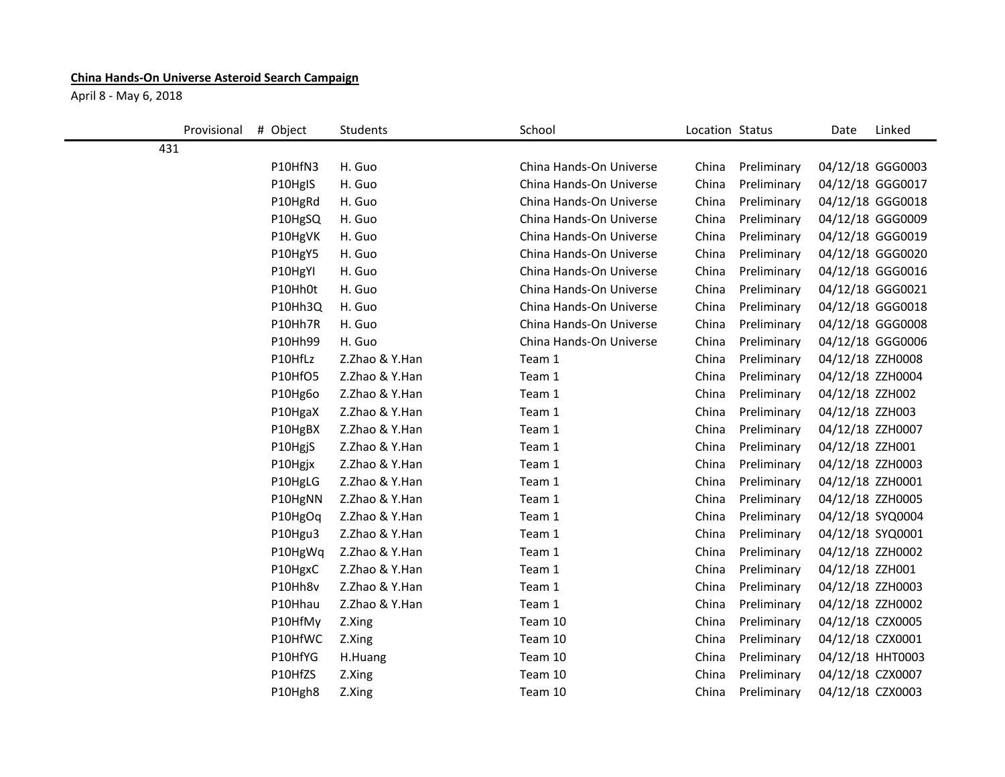## **China Hands-On Universe Asteroid Search Campaign**

April 8 - May 6, 2018

| Provisional | # Object | Students       | School                  | Location Status |             | Date             | Linked           |
|-------------|----------|----------------|-------------------------|-----------------|-------------|------------------|------------------|
| 431         |          |                |                         |                 |             |                  |                  |
|             | P10HfN3  | H. Guo         | China Hands-On Universe | China           | Preliminary |                  | 04/12/18 GGG0003 |
|             | P10HgIS  | H. Guo         | China Hands-On Universe | China           | Preliminary |                  | 04/12/18 GGG0017 |
|             | P10HgRd  | H. Guo         | China Hands-On Universe | China           | Preliminary |                  | 04/12/18 GGG0018 |
|             | P10HgSQ  | H. Guo         | China Hands-On Universe | China           | Preliminary |                  | 04/12/18 GGG0009 |
|             | P10HgVK  | H. Guo         | China Hands-On Universe | China           | Preliminary |                  | 04/12/18 GGG0019 |
|             | P10HgY5  | H. Guo         | China Hands-On Universe | China           | Preliminary |                  | 04/12/18 GGG0020 |
|             | P10HgYI  | H. Guo         | China Hands-On Universe | China           | Preliminary |                  | 04/12/18 GGG0016 |
|             | P10Hh0t  | H. Guo         | China Hands-On Universe | China           | Preliminary |                  | 04/12/18 GGG0021 |
|             | P10Hh3Q  | H. Guo         | China Hands-On Universe | China           | Preliminary |                  | 04/12/18 GGG0018 |
|             | P10Hh7R  | H. Guo         | China Hands-On Universe | China           | Preliminary |                  | 04/12/18 GGG0008 |
|             | P10Hh99  | H. Guo         | China Hands-On Universe | China           | Preliminary |                  | 04/12/18 GGG0006 |
|             | P10HfLz  | Z.Zhao & Y.Han | Team 1                  | China           | Preliminary | 04/12/18 ZZH0008 |                  |
|             | P10HfO5  | Z.Zhao & Y.Han | Team 1                  | China           | Preliminary | 04/12/18 ZZH0004 |                  |
|             | P10Hg6o  | Z.Zhao & Y.Han | Team 1                  | China           | Preliminary | 04/12/18 ZZH002  |                  |
|             | P10HgaX  | Z.Zhao & Y.Han | Team 1                  | China           | Preliminary | 04/12/18 ZZH003  |                  |
|             | P10HgBX  | Z.Zhao & Y.Han | Team 1                  | China           | Preliminary | 04/12/18 ZZH0007 |                  |
|             | P10HgjS  | Z.Zhao & Y.Han | Team 1                  | China           | Preliminary | 04/12/18 ZZH001  |                  |
|             | P10Hgjx  | Z.Zhao & Y.Han | Team 1                  | China           | Preliminary | 04/12/18 ZZH0003 |                  |
|             | P10HgLG  | Z.Zhao & Y.Han | Team 1                  | China           | Preliminary | 04/12/18 ZZH0001 |                  |
|             | P10HgNN  | Z.Zhao & Y.Han | Team 1                  | China           | Preliminary | 04/12/18 ZZH0005 |                  |
|             | P10HgOq  | Z.Zhao & Y.Han | Team 1                  | China           | Preliminary | 04/12/18 SYQ0004 |                  |
|             | P10Hgu3  | Z.Zhao & Y.Han | Team 1                  | China           | Preliminary | 04/12/18 SYQ0001 |                  |
|             | P10HgWq  | Z.Zhao & Y.Han | Team 1                  | China           | Preliminary | 04/12/18 ZZH0002 |                  |
|             | P10HgxC  | Z.Zhao & Y.Han | Team 1                  | China           | Preliminary | 04/12/18 ZZH001  |                  |
|             | P10Hh8v  | Z.Zhao & Y.Han | Team 1                  | China           | Preliminary | 04/12/18 ZZH0003 |                  |
|             | P10Hhau  | Z.Zhao & Y.Han | Team 1                  | China           | Preliminary | 04/12/18 ZZH0002 |                  |
|             | P10HfMy  | Z.Xing         | Team 10                 | China           | Preliminary | 04/12/18 CZX0005 |                  |
|             | P10HfWC  | Z.Xing         | Team 10                 | China           | Preliminary | 04/12/18 CZX0001 |                  |
|             | P10HfYG  | H.Huang        | Team 10                 | China           | Preliminary | 04/12/18 HHT0003 |                  |
|             | P10HfZS  | Z.Xing         | Team 10                 | China           | Preliminary | 04/12/18 CZX0007 |                  |
|             | P10Hgh8  | Z.Xing         | Team 10                 | China           | Preliminary | 04/12/18 CZX0003 |                  |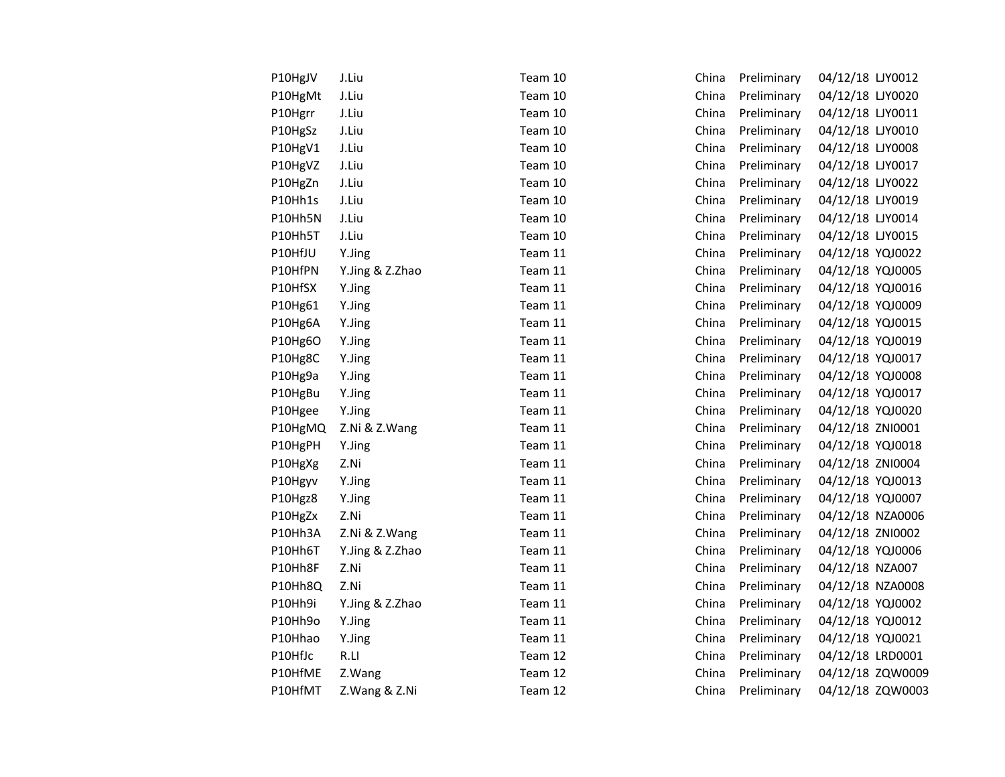| P10HgJV | J.Liu           | Team 10 | China | Preliminary | 04/12/18 LJY0012 |                  |
|---------|-----------------|---------|-------|-------------|------------------|------------------|
| P10HgMt | J.Liu           | Team 10 | China | Preliminary | 04/12/18 LJY0020 |                  |
| P10Hgrr | J.Liu           | Team 10 | China | Preliminary | 04/12/18 LJY0011 |                  |
| P10HgSz | J.Liu           | Team 10 | China | Preliminary | 04/12/18 LJY0010 |                  |
| P10HgV1 | J.Liu           | Team 10 | China | Preliminary | 04/12/18 LJY0008 |                  |
| P10HgVZ | J.Liu           | Team 10 | China | Preliminary | 04/12/18 LJY0017 |                  |
| P10HgZn | J.Liu           | Team 10 | China | Preliminary | 04/12/18 LJY0022 |                  |
| P10Hh1s | J.Liu           | Team 10 | China | Preliminary | 04/12/18 LJY0019 |                  |
| P10Hh5N | J.Liu           | Team 10 | China | Preliminary | 04/12/18 LJY0014 |                  |
| P10Hh5T | J.Liu           | Team 10 | China | Preliminary | 04/12/18 LJY0015 |                  |
| P10HfJU | Y.Jing          | Team 11 | China | Preliminary | 04/12/18 YQJ0022 |                  |
| P10HfPN | Y.Jing & Z.Zhao | Team 11 | China | Preliminary | 04/12/18 YQJ0005 |                  |
| P10HfSX | Y.Jing          | Team 11 | China | Preliminary | 04/12/18 YQJ0016 |                  |
| P10Hg61 | Y.Jing          | Team 11 | China | Preliminary | 04/12/18 YQJ0009 |                  |
| P10Hg6A | Y.Jing          | Team 11 | China | Preliminary | 04/12/18 YQJ0015 |                  |
| P10Hg6O | Y.Jing          | Team 11 | China | Preliminary | 04/12/18 YQJ0019 |                  |
| P10Hg8C | Y.Jing          | Team 11 | China | Preliminary | 04/12/18 YQJ0017 |                  |
| P10Hg9a | Y.Jing          | Team 11 | China | Preliminary | 04/12/18 YQJ0008 |                  |
| P10HgBu | Y.Jing          | Team 11 | China | Preliminary | 04/12/18 YQJ0017 |                  |
| P10Hgee | Y.Jing          | Team 11 | China | Preliminary | 04/12/18 YQJ0020 |                  |
| P10HgMQ | Z.Ni & Z.Wang   | Team 11 | China | Preliminary | 04/12/18 ZNI0001 |                  |
| P10HgPH | Y.Jing          | Team 11 | China | Preliminary | 04/12/18 YQJ0018 |                  |
| P10HgXg | Z.Ni            | Team 11 | China | Preliminary | 04/12/18 ZNI0004 |                  |
| P10Hgyv | Y.Jing          | Team 11 | China | Preliminary | 04/12/18 YQJ0013 |                  |
| P10Hgz8 | Y.Jing          | Team 11 | China | Preliminary | 04/12/18 YQJ0007 |                  |
| P10HgZx | Z.Ni            | Team 11 | China | Preliminary | 04/12/18 NZA0006 |                  |
| P10Hh3A | Z.Ni & Z.Wang   | Team 11 | China | Preliminary | 04/12/18 ZNI0002 |                  |
| P10Hh6T | Y.Jing & Z.Zhao | Team 11 | China | Preliminary | 04/12/18 YQJ0006 |                  |
| P10Hh8F | Z.Ni            | Team 11 | China | Preliminary | 04/12/18 NZA007  |                  |
| P10Hh8Q | Z.Ni            | Team 11 | China | Preliminary |                  | 04/12/18 NZA0008 |
| P10Hh9i | Y.Jing & Z.Zhao | Team 11 | China | Preliminary | 04/12/18 YQJ0002 |                  |
| P10Hh9o | Y.Jing          | Team 11 | China | Preliminary | 04/12/18 YQJ0012 |                  |
| P10Hhao | Y.Jing          | Team 11 | China | Preliminary | 04/12/18 YQJ0021 |                  |
| P10HfJc | R.LI            | Team 12 | China | Preliminary | 04/12/18 LRD0001 |                  |
| P10HfME | Z.Wang          | Team 12 | China | Preliminary |                  | 04/12/18 ZQW0009 |
| P10HfMT | Z.Wang & Z.Ni   | Team 12 | China | Preliminary |                  | 04/12/18 ZQW0003 |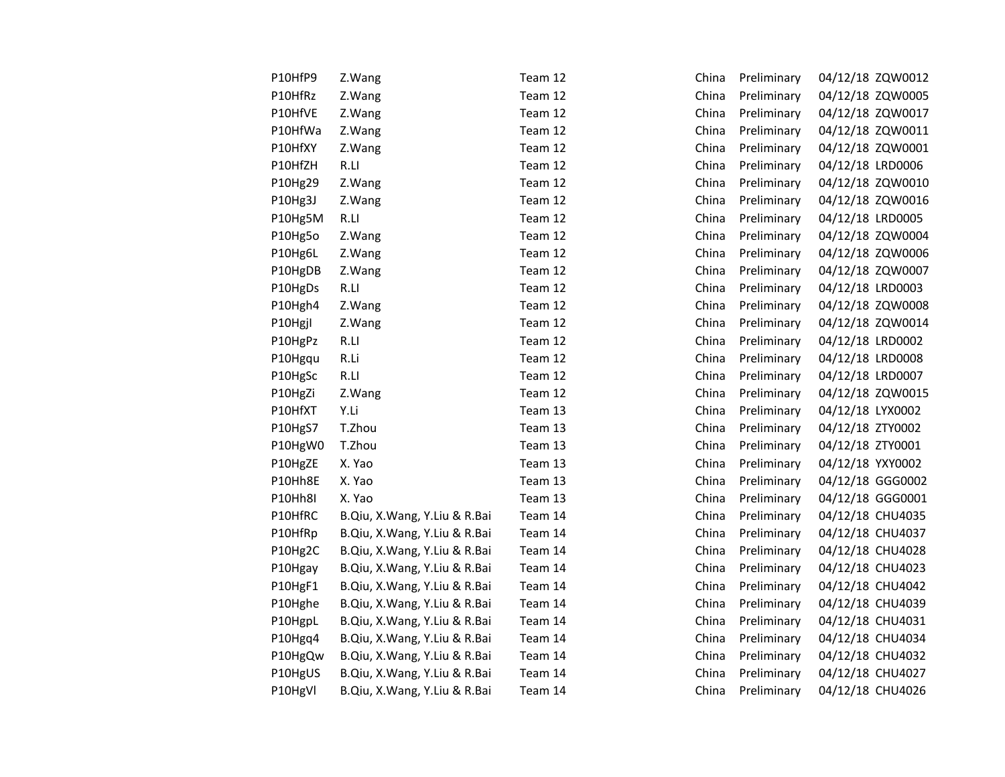| P10HfP9        | Z.Wang                       | Team 12 | China | Preliminary | 04/12/18 ZQW0012 |
|----------------|------------------------------|---------|-------|-------------|------------------|
| P10HfRz        | Z.Wang                       | Team 12 | China | Preliminary | 04/12/18 ZQW0005 |
| P10HfVE        | Z.Wang                       | Team 12 | China | Preliminary | 04/12/18 ZQW0017 |
| P10HfWa        | Z.Wang                       | Team 12 | China | Preliminary | 04/12/18 ZQW0011 |
| P10HfXY        | Z.Wang                       | Team 12 | China | Preliminary | 04/12/18 ZQW0001 |
| P10HfZH        | R.LI                         | Team 12 | China | Preliminary | 04/12/18 LRD0006 |
| P10Hg29        | Z.Wang                       | Team 12 | China | Preliminary | 04/12/18 ZQW0010 |
| P10Hg3J        | Z.Wang                       | Team 12 | China | Preliminary | 04/12/18 ZQW0016 |
| P10Hg5M        | R.LI                         | Team 12 | China | Preliminary | 04/12/18 LRD0005 |
| P10Hg5o        | Z.Wang                       | Team 12 | China | Preliminary | 04/12/18 ZQW0004 |
| P10Hg6L        | Z.Wang                       | Team 12 | China | Preliminary | 04/12/18 ZQW0006 |
| P10HgDB        | Z.Wang                       | Team 12 | China | Preliminary | 04/12/18 ZQW0007 |
| P10HgDs        | R.LI                         | Team 12 | China | Preliminary | 04/12/18 LRD0003 |
| P10Hgh4        | Z.Wang                       | Team 12 | China | Preliminary | 04/12/18 ZQW0008 |
| P10Hgjl        | Z.Wang                       | Team 12 | China | Preliminary | 04/12/18 ZQW0014 |
| P10HgPz        | R.LI                         | Team 12 | China | Preliminary | 04/12/18 LRD0002 |
| P10Hgqu        | R.Li                         | Team 12 | China | Preliminary | 04/12/18 LRD0008 |
| P10HgSc        | R.LI                         | Team 12 | China | Preliminary | 04/12/18 LRD0007 |
| P10HgZi        | Z.Wang                       | Team 12 | China | Preliminary | 04/12/18 ZQW0015 |
| P10HfXT        | Y.Li                         | Team 13 | China | Preliminary | 04/12/18 LYX0002 |
| P10HgS7        | T.Zhou                       | Team 13 | China | Preliminary | 04/12/18 ZTY0002 |
| P10HgW0        | T.Zhou                       | Team 13 | China | Preliminary | 04/12/18 ZTY0001 |
| P10HgZE        | X. Yao                       | Team 13 | China | Preliminary | 04/12/18 YXY0002 |
| P10Hh8E        | X. Yao                       | Team 13 | China | Preliminary | 04/12/18 GGG0002 |
| <b>P10Hh8I</b> | X. Yao                       | Team 13 | China | Preliminary | 04/12/18 GGG0001 |
| P10HfRC        | B.Qiu, X.Wang, Y.Liu & R.Bai | Team 14 | China | Preliminary | 04/12/18 CHU4035 |
| P10HfRp        | B.Qiu, X.Wang, Y.Liu & R.Bai | Team 14 | China | Preliminary | 04/12/18 CHU4037 |
| P10Hg2C        | B.Qiu, X.Wang, Y.Liu & R.Bai | Team 14 | China | Preliminary | 04/12/18 CHU4028 |
| P10Hgay        | B.Qiu, X.Wang, Y.Liu & R.Bai | Team 14 | China | Preliminary | 04/12/18 CHU4023 |
| P10HgF1        | B.Qiu, X.Wang, Y.Liu & R.Bai | Team 14 | China | Preliminary | 04/12/18 CHU4042 |
| P10Hghe        | B.Qiu, X.Wang, Y.Liu & R.Bai | Team 14 | China | Preliminary | 04/12/18 CHU4039 |
| P10HgpL        | B.Qiu, X.Wang, Y.Liu & R.Bai | Team 14 | China | Preliminary | 04/12/18 CHU4031 |
| P10Hgq4        | B.Qiu, X.Wang, Y.Liu & R.Bai | Team 14 | China | Preliminary | 04/12/18 CHU4034 |
| P10HgQw        | B.Qiu, X.Wang, Y.Liu & R.Bai | Team 14 | China | Preliminary | 04/12/18 CHU4032 |
| P10HgUS        | B.Qiu, X.Wang, Y.Liu & R.Bai | Team 14 | China | Preliminary | 04/12/18 CHU4027 |
| P10HgVl        | B.Qiu, X.Wang, Y.Liu & R.Bai | Team 14 | China | Preliminary | 04/12/18 CHU4026 |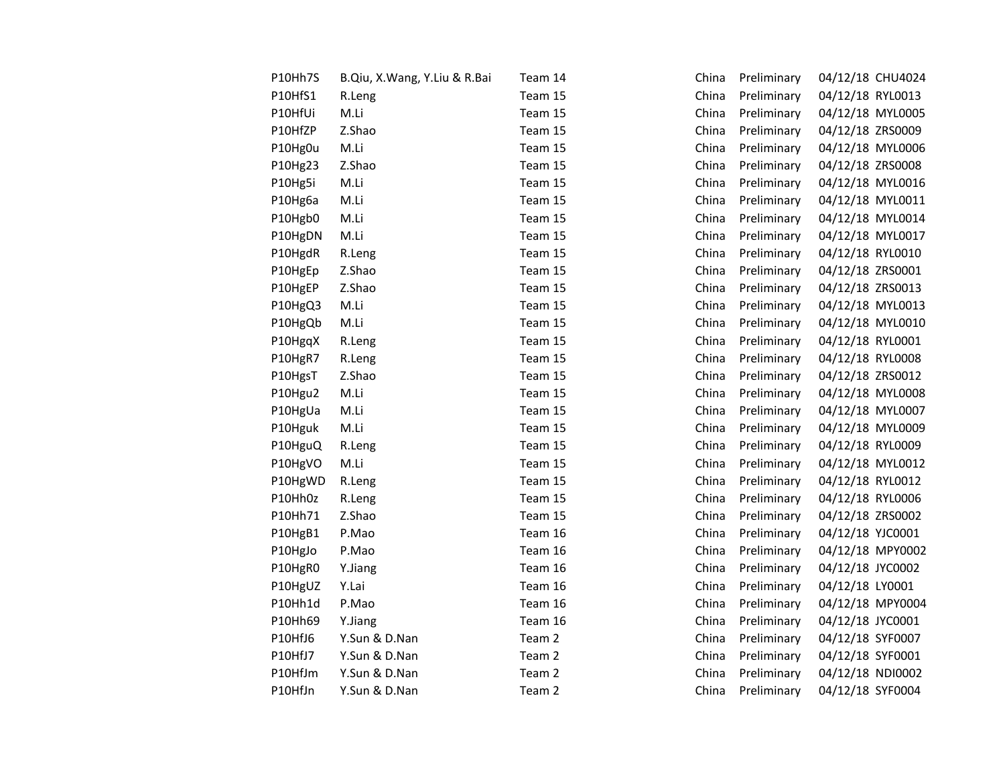| P10Hh7S | B.Qiu, X.Wang, Y.Liu & R.Bai | Team 14 | China | Preliminary | 04/12/18 CHU4024 |                  |
|---------|------------------------------|---------|-------|-------------|------------------|------------------|
| P10HfS1 | R.Leng                       | Team 15 | China | Preliminary | 04/12/18 RYL0013 |                  |
| P10HfUi | M.Li                         | Team 15 | China | Preliminary | 04/12/18 MYL0005 |                  |
| P10HfZP | Z.Shao                       | Team 15 | China | Preliminary | 04/12/18 ZRS0009 |                  |
| P10Hg0u | M.Li                         | Team 15 | China | Preliminary | 04/12/18 MYL0006 |                  |
| P10Hg23 | Z.Shao                       | Team 15 | China | Preliminary | 04/12/18 ZRS0008 |                  |
| P10Hg5i | M.Li                         | Team 15 | China | Preliminary | 04/12/18 MYL0016 |                  |
| P10Hg6a | M.Li                         | Team 15 | China | Preliminary | 04/12/18 MYL0011 |                  |
| P10Hgb0 | M.Li                         | Team 15 | China | Preliminary | 04/12/18 MYL0014 |                  |
| P10HgDN | M.Li                         | Team 15 | China | Preliminary | 04/12/18 MYL0017 |                  |
| P10HgdR | R.Leng                       | Team 15 | China | Preliminary | 04/12/18 RYL0010 |                  |
| P10HgEp | Z.Shao                       | Team 15 | China | Preliminary | 04/12/18 ZRS0001 |                  |
| P10HgEP | Z.Shao                       | Team 15 | China | Preliminary | 04/12/18 ZRS0013 |                  |
| P10HgQ3 | M.Li                         | Team 15 | China | Preliminary | 04/12/18 MYL0013 |                  |
| P10HgQb | M.Li                         | Team 15 | China | Preliminary | 04/12/18 MYL0010 |                  |
| P10HgqX | R.Leng                       | Team 15 | China | Preliminary | 04/12/18 RYL0001 |                  |
| P10HgR7 | R.Leng                       | Team 15 | China | Preliminary | 04/12/18 RYL0008 |                  |
| P10HgsT | Z.Shao                       | Team 15 | China | Preliminary | 04/12/18 ZRS0012 |                  |
| P10Hgu2 | M.Li                         | Team 15 | China | Preliminary | 04/12/18 MYL0008 |                  |
| P10HgUa | M.Li                         | Team 15 | China | Preliminary | 04/12/18 MYL0007 |                  |
| P10Hguk | M.Li                         | Team 15 | China | Preliminary | 04/12/18 MYL0009 |                  |
| P10HguQ | R.Leng                       | Team 15 | China | Preliminary | 04/12/18 RYL0009 |                  |
| P10HgVO | M.Li                         | Team 15 | China | Preliminary | 04/12/18 MYL0012 |                  |
| P10HgWD | R.Leng                       | Team 15 | China | Preliminary | 04/12/18 RYL0012 |                  |
| P10Hh0z | R.Leng                       | Team 15 | China | Preliminary | 04/12/18 RYL0006 |                  |
| P10Hh71 | Z.Shao                       | Team 15 | China | Preliminary | 04/12/18 ZRS0002 |                  |
| P10HgB1 | P.Mao                        | Team 16 | China | Preliminary | 04/12/18 YJC0001 |                  |
| P10HgJo | P.Mao                        | Team 16 | China | Preliminary |                  | 04/12/18 MPY0002 |
| P10HgR0 | Y.Jiang                      | Team 16 | China | Preliminary | 04/12/18 JYC0002 |                  |
| P10HgUZ | Y.Lai                        | Team 16 | China | Preliminary | 04/12/18 LY0001  |                  |
| P10Hh1d | P.Mao                        | Team 16 | China | Preliminary |                  | 04/12/18 MPY0004 |
| P10Hh69 | Y.Jiang                      | Team 16 | China | Preliminary | 04/12/18 JYC0001 |                  |
| P10HfJ6 | Y.Sun & D.Nan                | Team 2  | China | Preliminary | 04/12/18 SYF0007 |                  |
| P10HfJ7 | Y.Sun & D.Nan                | Team 2  | China | Preliminary | 04/12/18 SYF0001 |                  |
| P10HfJm | Y.Sun & D.Nan                | Team 2  | China | Preliminary | 04/12/18 NDI0002 |                  |
| P10HfJn | Y.Sun & D.Nan                | Team 2  | China | Preliminary | 04/12/18 SYF0004 |                  |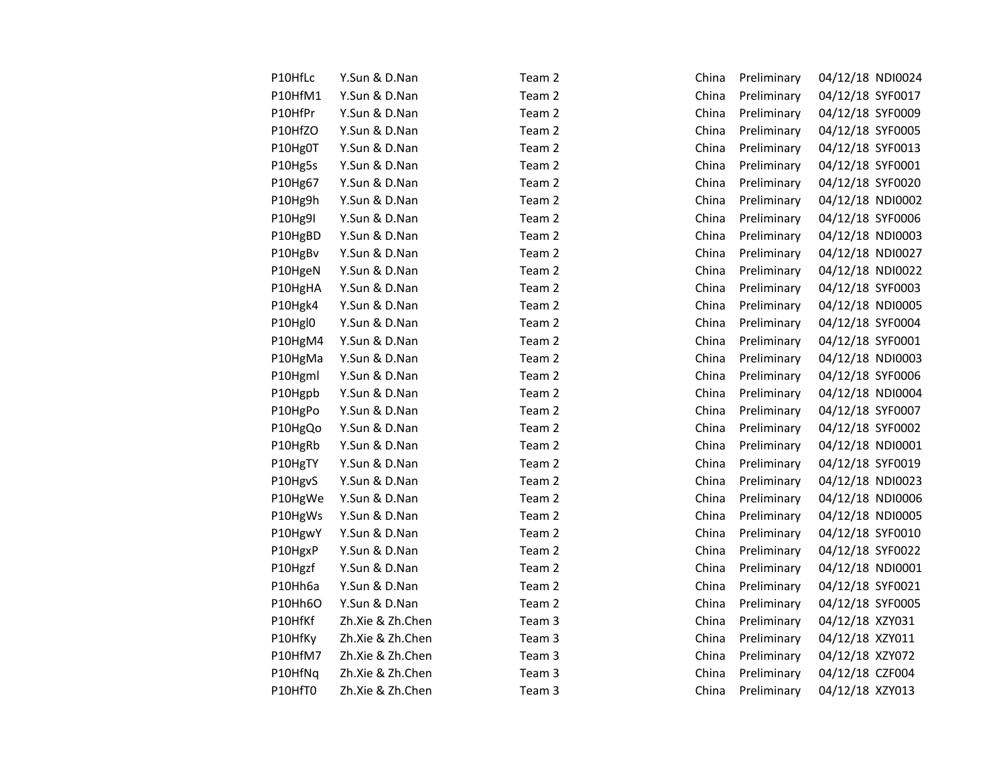| P10HfLc | Y.Sun & D.Nan    | Team 2 | China | Preliminary | 04/12/18 NDI0024 |
|---------|------------------|--------|-------|-------------|------------------|
| P10HfM1 | Y.Sun & D.Nan    | Team 2 | China | Preliminary | 04/12/18 SYF0017 |
| P10HfPr | Y.Sun & D.Nan    | Team 2 | China | Preliminary | 04/12/18 SYF0009 |
| P10HfZO | Y.Sun & D.Nan    | Team 2 | China | Preliminary | 04/12/18 SYF0005 |
| P10Hg0T | Y.Sun & D.Nan    | Team 2 | China | Preliminary | 04/12/18 SYF0013 |
| P10Hg5s | Y.Sun & D.Nan    | Team 2 | China | Preliminary | 04/12/18 SYF0001 |
| P10Hg67 | Y.Sun & D.Nan    | Team 2 | China | Preliminary | 04/12/18 SYF0020 |
| P10Hg9h | Y.Sun & D.Nan    | Team 2 | China | Preliminary | 04/12/18 NDI0002 |
| P10Hg9I | Y.Sun & D.Nan    | Team 2 | China | Preliminary | 04/12/18 SYF0006 |
| P10HgBD | Y.Sun & D.Nan    | Team 2 | China | Preliminary | 04/12/18 NDI0003 |
| P10HgBv | Y.Sun & D.Nan    | Team 2 | China | Preliminary | 04/12/18 NDI0027 |
| P10HgeN | Y.Sun & D.Nan    | Team 2 | China | Preliminary | 04/12/18 NDI0022 |
| P10HgHA | Y.Sun & D.Nan    | Team 2 | China | Preliminary | 04/12/18 SYF0003 |
| P10Hgk4 | Y.Sun & D.Nan    | Team 2 | China | Preliminary | 04/12/18 NDI0005 |
| P10Hgl0 | Y.Sun & D.Nan    | Team 2 | China | Preliminary | 04/12/18 SYF0004 |
| P10HgM4 | Y.Sun & D.Nan    | Team 2 | China | Preliminary | 04/12/18 SYF0001 |
| P10HgMa | Y.Sun & D.Nan    | Team 2 | China | Preliminary | 04/12/18 NDI0003 |
| P10Hgml | Y.Sun & D.Nan    | Team 2 | China | Preliminary | 04/12/18 SYF0006 |
| P10Hgpb | Y.Sun & D.Nan    | Team 2 | China | Preliminary | 04/12/18 NDI0004 |
| P10HgPo | Y.Sun & D.Nan    | Team 2 | China | Preliminary | 04/12/18 SYF0007 |
| P10HgQo | Y.Sun & D.Nan    | Team 2 | China | Preliminary | 04/12/18 SYF0002 |
| P10HgRb | Y.Sun & D.Nan    | Team 2 | China | Preliminary | 04/12/18 NDI0001 |
| P10HgTY | Y.Sun & D.Nan    | Team 2 | China | Preliminary | 04/12/18 SYF0019 |
| P10HgvS | Y.Sun & D.Nan    | Team 2 | China | Preliminary | 04/12/18 NDI0023 |
| P10HgWe | Y.Sun & D.Nan    | Team 2 | China | Preliminary | 04/12/18 NDI0006 |
| P10HgWs | Y.Sun & D.Nan    | Team 2 | China | Preliminary | 04/12/18 NDI0005 |
| P10HgwY | Y.Sun & D.Nan    | Team 2 | China | Preliminary | 04/12/18 SYF0010 |
| P10HgxP | Y.Sun & D.Nan    | Team 2 | China | Preliminary | 04/12/18 SYF0022 |
| P10Hgzf | Y.Sun & D.Nan    | Team 2 | China | Preliminary | 04/12/18 NDI0001 |
| P10Hh6a | Y.Sun & D.Nan    | Team 2 | China | Preliminary | 04/12/18 SYF0021 |
| P10Hh6O | Y.Sun & D.Nan    | Team 2 | China | Preliminary | 04/12/18 SYF0005 |
| P10HfKf | Zh.Xie & Zh.Chen | Team 3 | China | Preliminary | 04/12/18 XZY031  |
| P10HfKy | Zh.Xie & Zh.Chen | Team 3 | China | Preliminary | 04/12/18 XZY011  |
| P10HfM7 | Zh.Xie & Zh.Chen | Team 3 | China | Preliminary | 04/12/18 XZY072  |
| P10HfNq | Zh.Xie & Zh.Chen | Team 3 | China | Preliminary | 04/12/18 CZF004  |
| P10HfT0 | Zh.Xie & Zh.Chen | Team 3 | China | Preliminary | 04/12/18 XZY013  |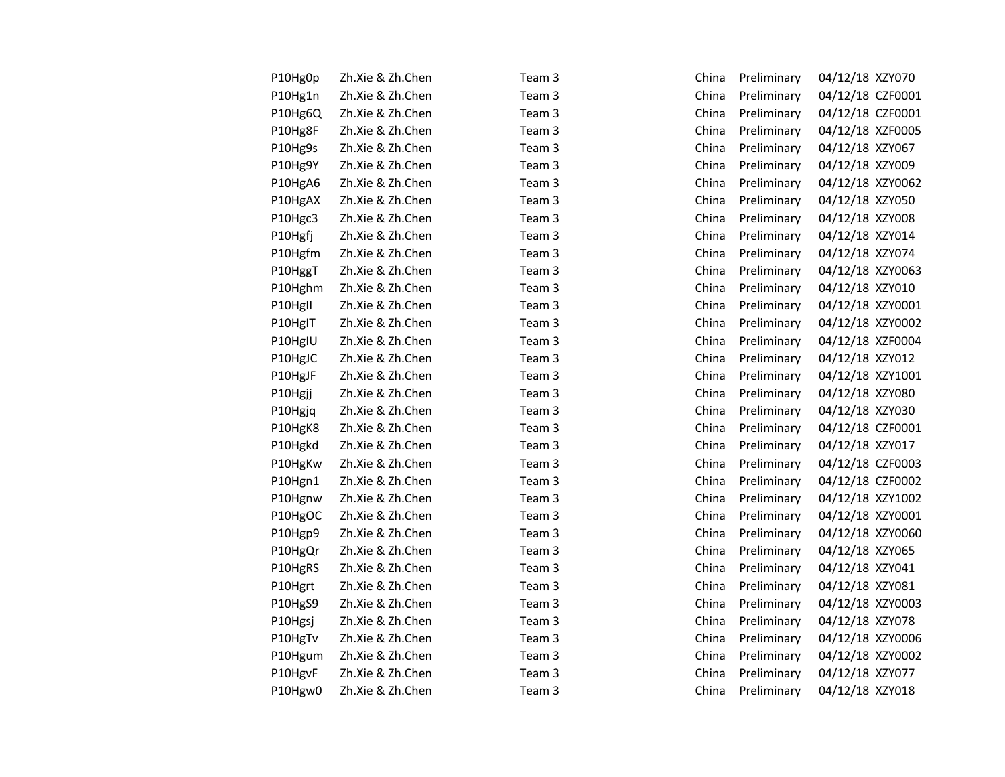| P10Hg0p | Zh.Xie & Zh.Chen | Team 3 | China | Preliminary | 04/12/18 XZY070  |  |
|---------|------------------|--------|-------|-------------|------------------|--|
| P10Hg1n | Zh.Xie & Zh.Chen | Team 3 | China | Preliminary | 04/12/18 CZF0001 |  |
| P10Hg6Q | Zh.Xie & Zh.Chen | Team 3 | China | Preliminary | 04/12/18 CZF0001 |  |
| P10Hg8F | Zh.Xie & Zh.Chen | Team 3 | China | Preliminary | 04/12/18 XZF0005 |  |
| P10Hg9s | Zh.Xie & Zh.Chen | Team 3 | China | Preliminary | 04/12/18 XZY067  |  |
| P10Hg9Y | Zh.Xie & Zh.Chen | Team 3 | China | Preliminary | 04/12/18 XZY009  |  |
| P10HgA6 | Zh.Xie & Zh.Chen | Team 3 | China | Preliminary | 04/12/18 XZY0062 |  |
| P10HgAX | Zh.Xie & Zh.Chen | Team 3 | China | Preliminary | 04/12/18 XZY050  |  |
| P10Hgc3 | Zh.Xie & Zh.Chen | Team 3 | China | Preliminary | 04/12/18 XZY008  |  |
| P10Hgfj | Zh.Xie & Zh.Chen | Team 3 | China | Preliminary | 04/12/18 XZY014  |  |
| P10Hgfm | Zh.Xie & Zh.Chen | Team 3 | China | Preliminary | 04/12/18 XZY074  |  |
| P10HggT | Zh.Xie & Zh.Chen | Team 3 | China | Preliminary | 04/12/18 XZY0063 |  |
| P10Hghm | Zh.Xie & Zh.Chen | Team 3 | China | Preliminary | 04/12/18 XZY010  |  |
| P10HgII | Zh.Xie & Zh.Chen | Team 3 | China | Preliminary | 04/12/18 XZY0001 |  |
| P10HgIT | Zh.Xie & Zh.Chen | Team 3 | China | Preliminary | 04/12/18 XZY0002 |  |
| P10HgIU | Zh.Xie & Zh.Chen | Team 3 | China | Preliminary | 04/12/18 XZF0004 |  |
| P10HgJC | Zh.Xie & Zh.Chen | Team 3 | China | Preliminary | 04/12/18 XZY012  |  |
| P10HgJF | Zh.Xie & Zh.Chen | Team 3 | China | Preliminary | 04/12/18 XZY1001 |  |
| P10Hgjj | Zh.Xie & Zh.Chen | Team 3 | China | Preliminary | 04/12/18 XZY080  |  |
| P10Hgjq | Zh.Xie & Zh.Chen | Team 3 | China | Preliminary | 04/12/18 XZY030  |  |
| P10HgK8 | Zh.Xie & Zh.Chen | Team 3 | China | Preliminary | 04/12/18 CZF0001 |  |
| P10Hgkd | Zh.Xie & Zh.Chen | Team 3 | China | Preliminary | 04/12/18 XZY017  |  |
| P10HgKw | Zh.Xie & Zh.Chen | Team 3 | China | Preliminary | 04/12/18 CZF0003 |  |
| P10Hgn1 | Zh.Xie & Zh.Chen | Team 3 | China | Preliminary | 04/12/18 CZF0002 |  |
| P10Hgnw | Zh.Xie & Zh.Chen | Team 3 | China | Preliminary | 04/12/18 XZY1002 |  |
| P10HgOC | Zh.Xie & Zh.Chen | Team 3 | China | Preliminary | 04/12/18 XZY0001 |  |
| P10Hgp9 | Zh.Xie & Zh.Chen | Team 3 | China | Preliminary | 04/12/18 XZY0060 |  |
| P10HgQr | Zh.Xie & Zh.Chen | Team 3 | China | Preliminary | 04/12/18 XZY065  |  |
| P10HgRS | Zh.Xie & Zh.Chen | Team 3 | China | Preliminary | 04/12/18 XZY041  |  |
| P10Hgrt | Zh.Xie & Zh.Chen | Team 3 | China | Preliminary | 04/12/18 XZY081  |  |
| P10HgS9 | Zh.Xie & Zh.Chen | Team 3 | China | Preliminary | 04/12/18 XZY0003 |  |
| P10Hgsj | Zh.Xie & Zh.Chen | Team 3 | China | Preliminary | 04/12/18 XZY078  |  |
| P10HgTv | Zh.Xie & Zh.Chen | Team 3 | China | Preliminary | 04/12/18 XZY0006 |  |
| P10Hgum | Zh.Xie & Zh.Chen | Team 3 | China | Preliminary | 04/12/18 XZY0002 |  |
| P10HgvF | Zh.Xie & Zh.Chen | Team 3 | China | Preliminary | 04/12/18 XZY077  |  |
| P10Hgw0 | Zh.Xie & Zh.Chen | Team 3 | China | Preliminary | 04/12/18 XZY018  |  |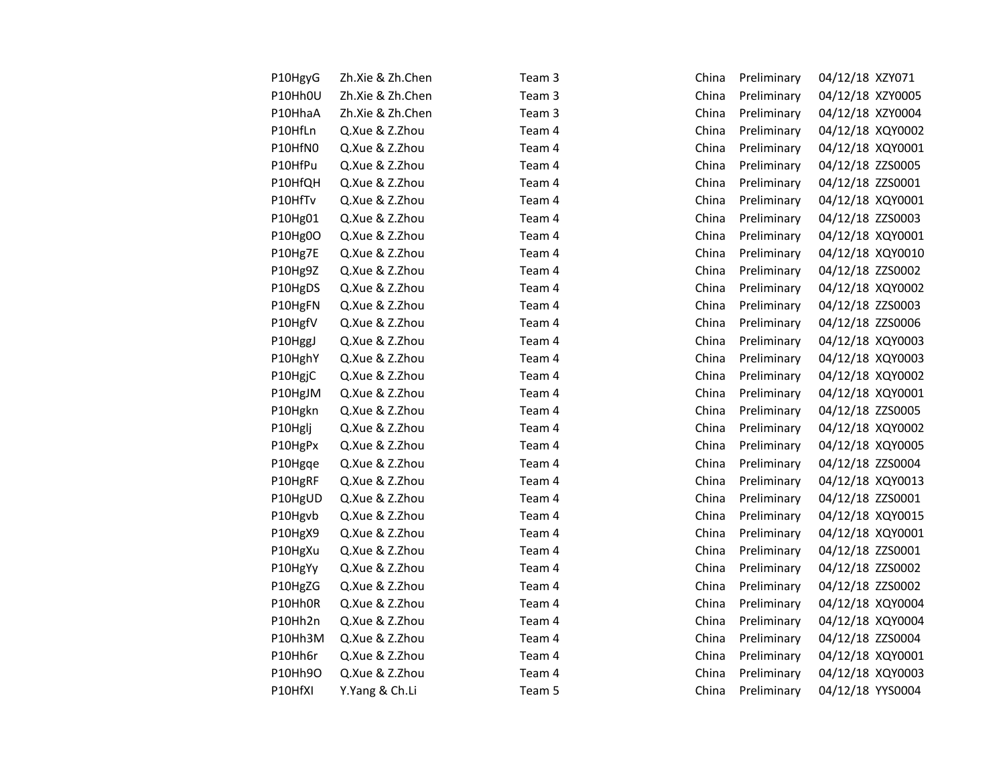| P10HgyG | Zh.Xie & Zh.Chen | Team 3 | China | Preliminary | 04/12/18 XZY071  |                  |
|---------|------------------|--------|-------|-------------|------------------|------------------|
| P10Hh0U | Zh.Xie & Zh.Chen | Team 3 | China | Preliminary | 04/12/18 XZY0005 |                  |
| P10HhaA | Zh.Xie & Zh.Chen | Team 3 | China | Preliminary | 04/12/18 XZY0004 |                  |
| P10HfLn | Q.Xue & Z.Zhou   | Team 4 | China | Preliminary | 04/12/18 XQY0002 |                  |
| P10HfN0 | Q.Xue & Z.Zhou   | Team 4 | China | Preliminary | 04/12/18 XQY0001 |                  |
| P10HfPu | Q.Xue & Z.Zhou   | Team 4 | China | Preliminary | 04/12/18 ZZS0005 |                  |
| P10HfQH | Q.Xue & Z.Zhou   | Team 4 | China | Preliminary | 04/12/18 ZZS0001 |                  |
| P10HfTv | Q.Xue & Z.Zhou   | Team 4 | China | Preliminary | 04/12/18 XQY0001 |                  |
| P10Hg01 | Q.Xue & Z.Zhou   | Team 4 | China | Preliminary | 04/12/18 ZZS0003 |                  |
| P10Hg0O | Q.Xue & Z.Zhou   | Team 4 | China | Preliminary | 04/12/18 XQY0001 |                  |
| P10Hg7E | Q.Xue & Z.Zhou   | Team 4 | China | Preliminary | 04/12/18 XQY0010 |                  |
| P10Hg9Z | Q.Xue & Z.Zhou   | Team 4 | China | Preliminary | 04/12/18 ZZS0002 |                  |
| P10HgDS | Q.Xue & Z.Zhou   | Team 4 | China | Preliminary | 04/12/18 XQY0002 |                  |
| P10HgFN | Q.Xue & Z.Zhou   | Team 4 | China | Preliminary | 04/12/18 ZZS0003 |                  |
| P10HgfV | Q.Xue & Z.Zhou   | Team 4 | China | Preliminary | 04/12/18 ZZS0006 |                  |
| P10HggJ | Q.Xue & Z.Zhou   | Team 4 | China | Preliminary |                  | 04/12/18 XQY0003 |
| P10HghY | Q.Xue & Z.Zhou   | Team 4 | China | Preliminary |                  | 04/12/18 XQY0003 |
| P10HgjC | Q.Xue & Z.Zhou   | Team 4 | China | Preliminary | 04/12/18 XQY0002 |                  |
| P10HgJM | Q.Xue & Z.Zhou   | Team 4 | China | Preliminary | 04/12/18 XQY0001 |                  |
| P10Hgkn | Q.Xue & Z.Zhou   | Team 4 | China | Preliminary | 04/12/18 ZZS0005 |                  |
| P10Hglj | Q.Xue & Z.Zhou   | Team 4 | China | Preliminary | 04/12/18 XQY0002 |                  |
| P10HgPx | Q.Xue & Z.Zhou   | Team 4 | China | Preliminary | 04/12/18 XQY0005 |                  |
| P10Hgqe | Q.Xue & Z.Zhou   | Team 4 | China | Preliminary | 04/12/18 ZZS0004 |                  |
| P10HgRF | Q.Xue & Z.Zhou   | Team 4 | China | Preliminary | 04/12/18 XQY0013 |                  |
| P10HgUD | Q.Xue & Z.Zhou   | Team 4 | China | Preliminary | 04/12/18 ZZS0001 |                  |
| P10Hgvb | Q.Xue & Z.Zhou   | Team 4 | China | Preliminary | 04/12/18 XQY0015 |                  |
| P10HgX9 | Q.Xue & Z.Zhou   | Team 4 | China | Preliminary | 04/12/18 XQY0001 |                  |
| P10HgXu | Q.Xue & Z.Zhou   | Team 4 | China | Preliminary | 04/12/18 ZZS0001 |                  |
| P10HgYy | Q.Xue & Z.Zhou   | Team 4 | China | Preliminary | 04/12/18 ZZS0002 |                  |
| P10HgZG | Q.Xue & Z.Zhou   | Team 4 | China | Preliminary | 04/12/18 ZZS0002 |                  |
| P10Hh0R | Q.Xue & Z.Zhou   | Team 4 | China | Preliminary | 04/12/18 XQY0004 |                  |
| P10Hh2n | Q.Xue & Z.Zhou   | Team 4 | China | Preliminary | 04/12/18 XQY0004 |                  |
| P10Hh3M | Q.Xue & Z.Zhou   | Team 4 | China | Preliminary | 04/12/18 ZZS0004 |                  |
| P10Hh6r | Q.Xue & Z.Zhou   | Team 4 | China | Preliminary | 04/12/18 XQY0001 |                  |
| P10Hh9O | Q.Xue & Z.Zhou   | Team 4 | China | Preliminary |                  | 04/12/18 XQY0003 |
| P10HfXI | Y.Yang & Ch.Li   | Team 5 | China | Preliminary | 04/12/18 YYS0004 |                  |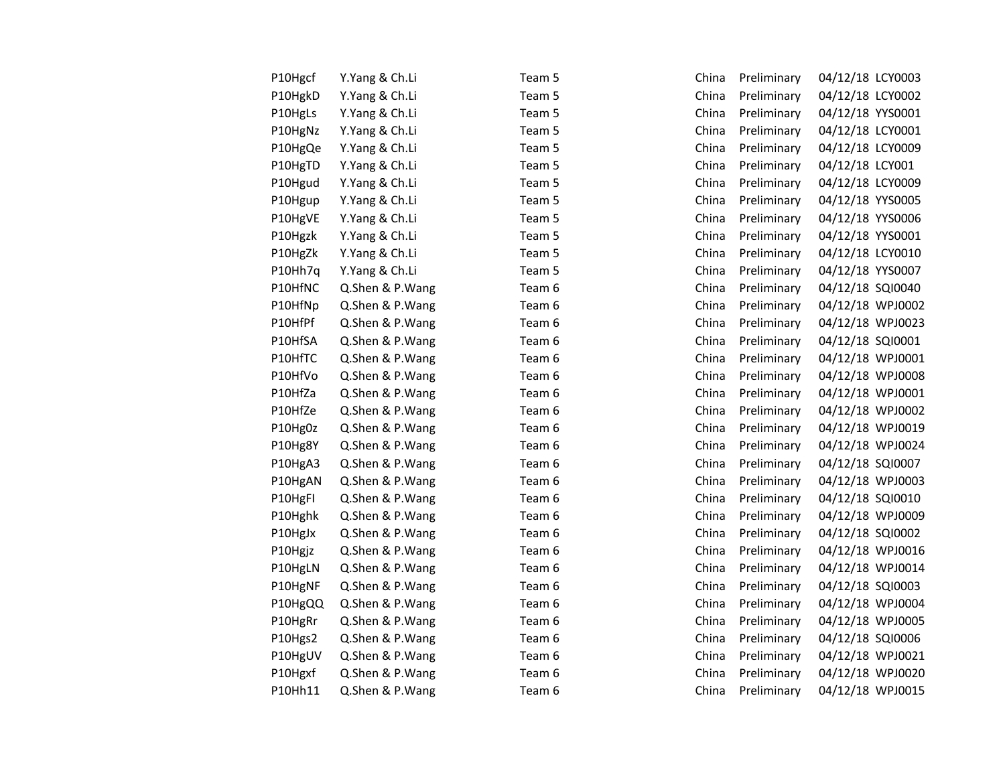| P10Hgcf | Y.Yang & Ch.Li  | Team 5 | China | Preliminary | 04/12/18 LCY0003 |                  |
|---------|-----------------|--------|-------|-------------|------------------|------------------|
| P10HgkD | Y.Yang & Ch.Li  | Team 5 | China | Preliminary | 04/12/18 LCY0002 |                  |
| P10HgLs | Y.Yang & Ch.Li  | Team 5 | China | Preliminary | 04/12/18 YYS0001 |                  |
| P10HgNz | Y.Yang & Ch.Li  | Team 5 | China | Preliminary | 04/12/18 LCY0001 |                  |
| P10HgQe | Y.Yang & Ch.Li  | Team 5 | China | Preliminary | 04/12/18 LCY0009 |                  |
| P10HgTD | Y.Yang & Ch.Li  | Team 5 | China | Preliminary | 04/12/18 LCY001  |                  |
| P10Hgud | Y.Yang & Ch.Li  | Team 5 | China | Preliminary | 04/12/18 LCY0009 |                  |
| P10Hgup | Y.Yang & Ch.Li  | Team 5 | China | Preliminary | 04/12/18 YYS0005 |                  |
| P10HgVE | Y.Yang & Ch.Li  | Team 5 | China | Preliminary | 04/12/18 YYS0006 |                  |
| P10Hgzk | Y.Yang & Ch.Li  | Team 5 | China | Preliminary | 04/12/18 YYS0001 |                  |
| P10HgZk | Y.Yang & Ch.Li  | Team 5 | China | Preliminary | 04/12/18 LCY0010 |                  |
| P10Hh7q | Y.Yang & Ch.Li  | Team 5 | China | Preliminary | 04/12/18 YYS0007 |                  |
| P10HfNC | Q.Shen & P.Wang | Team 6 | China | Preliminary | 04/12/18 SQI0040 |                  |
| P10HfNp | Q.Shen & P.Wang | Team 6 | China | Preliminary | 04/12/18 WPJ0002 |                  |
| P10HfPf | Q.Shen & P.Wang | Team 6 | China | Preliminary |                  | 04/12/18 WPJ0023 |
| P10HfSA | Q.Shen & P.Wang | Team 6 | China | Preliminary | 04/12/18 SQI0001 |                  |
| P10HfTC | Q.Shen & P.Wang | Team 6 | China | Preliminary |                  | 04/12/18 WPJ0001 |
| P10HfVo | Q.Shen & P.Wang | Team 6 | China | Preliminary |                  | 04/12/18 WPJ0008 |
| P10HfZa | Q.Shen & P.Wang | Team 6 | China | Preliminary |                  | 04/12/18 WPJ0001 |
| P10HfZe | Q.Shen & P.Wang | Team 6 | China | Preliminary |                  | 04/12/18 WPJ0002 |
| P10Hg0z | Q.Shen & P.Wang | Team 6 | China | Preliminary |                  | 04/12/18 WPJ0019 |
| P10Hg8Y | Q.Shen & P.Wang | Team 6 | China | Preliminary |                  | 04/12/18 WPJ0024 |
| P10HgA3 | Q.Shen & P.Wang | Team 6 | China | Preliminary | 04/12/18 SQI0007 |                  |
| P10HgAN | Q.Shen & P.Wang | Team 6 | China | Preliminary | 04/12/18 WPJ0003 |                  |
| P10HgFI | Q.Shen & P.Wang | Team 6 | China | Preliminary | 04/12/18 SQI0010 |                  |
| P10Hghk | Q.Shen & P.Wang | Team 6 | China | Preliminary | 04/12/18 WPJ0009 |                  |
| P10HgJx | Q.Shen & P.Wang | Team 6 | China | Preliminary | 04/12/18 SQI0002 |                  |
| P10Hgjz | Q.Shen & P.Wang | Team 6 | China | Preliminary | 04/12/18 WPJ0016 |                  |
| P10HgLN | Q.Shen & P.Wang | Team 6 | China | Preliminary |                  | 04/12/18 WPJ0014 |
| P10HgNF | Q.Shen & P.Wang | Team 6 | China | Preliminary | 04/12/18 SQI0003 |                  |
| P10HgQQ | Q.Shen & P.Wang | Team 6 | China | Preliminary | 04/12/18 WPJ0004 |                  |
| P10HgRr | Q.Shen & P.Wang | Team 6 | China | Preliminary | 04/12/18 WPJ0005 |                  |
| P10Hgs2 | Q.Shen & P.Wang | Team 6 | China | Preliminary | 04/12/18 SQI0006 |                  |
| P10HgUV | Q.Shen & P.Wang | Team 6 | China | Preliminary |                  | 04/12/18 WPJ0021 |
| P10Hgxf | Q.Shen & P.Wang | Team 6 | China | Preliminary |                  | 04/12/18 WPJ0020 |
| P10Hh11 | Q.Shen & P.Wang | Team 6 | China | Preliminary | 04/12/18 WPJ0015 |                  |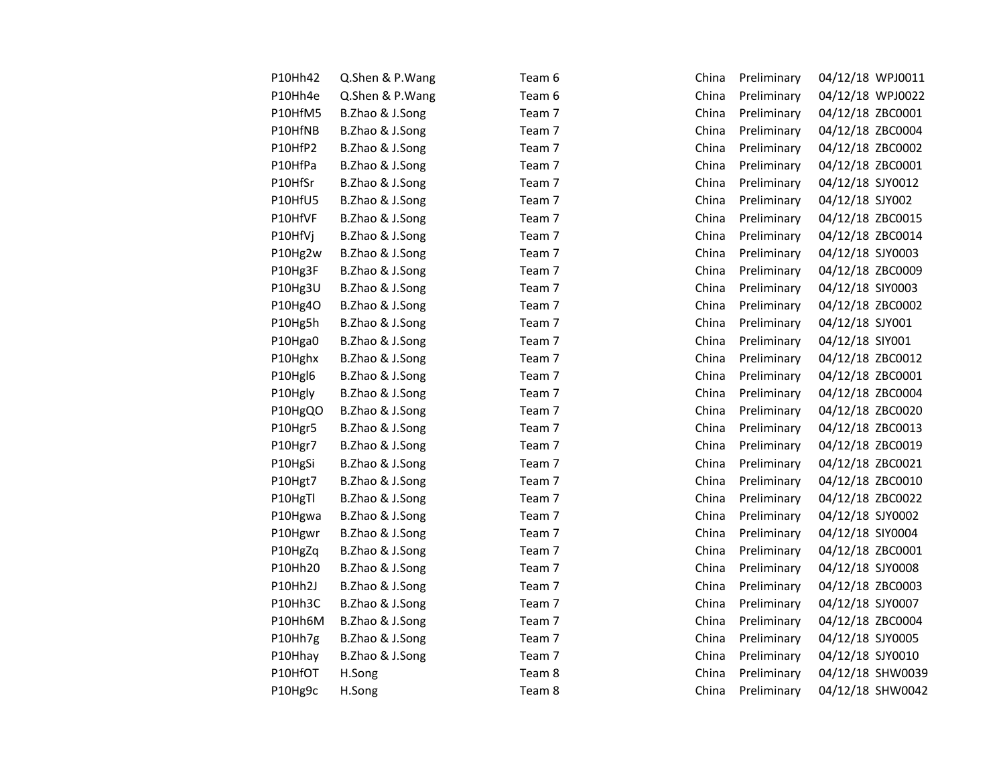| P10Hh42 | Q.Shen & P.Wang | Team 6 | China | Preliminary | 04/12/18 WPJ0011 |                  |
|---------|-----------------|--------|-------|-------------|------------------|------------------|
| P10Hh4e | Q.Shen & P.Wang | Team 6 | China | Preliminary |                  | 04/12/18 WPJ0022 |
| P10HfM5 | B.Zhao & J.Song | Team 7 | China | Preliminary | 04/12/18 ZBC0001 |                  |
| P10HfNB | B.Zhao & J.Song | Team 7 | China | Preliminary | 04/12/18 ZBC0004 |                  |
| P10HfP2 | B.Zhao & J.Song | Team 7 | China | Preliminary | 04/12/18 ZBC0002 |                  |
| P10HfPa | B.Zhao & J.Song | Team 7 | China | Preliminary | 04/12/18 ZBC0001 |                  |
| P10HfSr | B.Zhao & J.Song | Team 7 | China | Preliminary | 04/12/18 SJY0012 |                  |
| P10HfU5 | B.Zhao & J.Song | Team 7 | China | Preliminary | 04/12/18 SJY002  |                  |
| P10HfVF | B.Zhao & J.Song | Team 7 | China | Preliminary | 04/12/18 ZBC0015 |                  |
| P10HfVj | B.Zhao & J.Song | Team 7 | China | Preliminary | 04/12/18 ZBC0014 |                  |
| P10Hg2w | B.Zhao & J.Song | Team 7 | China | Preliminary | 04/12/18 SJY0003 |                  |
| P10Hg3F | B.Zhao & J.Song | Team 7 | China | Preliminary | 04/12/18 ZBC0009 |                  |
| P10Hg3U | B.Zhao & J.Song | Team 7 | China | Preliminary | 04/12/18 SIY0003 |                  |
| P10Hg4O | B.Zhao & J.Song | Team 7 | China | Preliminary | 04/12/18 ZBC0002 |                  |
| P10Hg5h | B.Zhao & J.Song | Team 7 | China | Preliminary | 04/12/18 SJY001  |                  |
| P10Hga0 | B.Zhao & J.Song | Team 7 | China | Preliminary | 04/12/18 SIY001  |                  |
| P10Hghx | B.Zhao & J.Song | Team 7 | China | Preliminary | 04/12/18 ZBC0012 |                  |
| P10Hgl6 | B.Zhao & J.Song | Team 7 | China | Preliminary | 04/12/18 ZBC0001 |                  |
| P10Hgly | B.Zhao & J.Song | Team 7 | China | Preliminary | 04/12/18 ZBC0004 |                  |
| P10HgQO | B.Zhao & J.Song | Team 7 | China | Preliminary | 04/12/18 ZBC0020 |                  |
| P10Hgr5 | B.Zhao & J.Song | Team 7 | China | Preliminary | 04/12/18 ZBC0013 |                  |
| P10Hgr7 | B.Zhao & J.Song | Team 7 | China | Preliminary | 04/12/18 ZBC0019 |                  |
| P10HgSi | B.Zhao & J.Song | Team 7 | China | Preliminary | 04/12/18 ZBC0021 |                  |
| P10Hgt7 | B.Zhao & J.Song | Team 7 | China | Preliminary | 04/12/18 ZBC0010 |                  |
| P10HgTl | B.Zhao & J.Song | Team 7 | China | Preliminary | 04/12/18 ZBC0022 |                  |
| P10Hgwa | B.Zhao & J.Song | Team 7 | China | Preliminary | 04/12/18 SJY0002 |                  |
| P10Hgwr | B.Zhao & J.Song | Team 7 | China | Preliminary | 04/12/18 SIY0004 |                  |
| P10HgZq | B.Zhao & J.Song | Team 7 | China | Preliminary | 04/12/18 ZBC0001 |                  |
| P10Hh20 | B.Zhao & J.Song | Team 7 | China | Preliminary | 04/12/18 SJY0008 |                  |
| P10Hh2J | B.Zhao & J.Song | Team 7 | China | Preliminary | 04/12/18 ZBC0003 |                  |
| P10Hh3C | B.Zhao & J.Song | Team 7 | China | Preliminary | 04/12/18 SJY0007 |                  |
| P10Hh6M | B.Zhao & J.Song | Team 7 | China | Preliminary | 04/12/18 ZBC0004 |                  |
| P10Hh7g | B.Zhao & J.Song | Team 7 | China | Preliminary | 04/12/18 SJY0005 |                  |
| P10Hhay | B.Zhao & J.Song | Team 7 | China | Preliminary | 04/12/18 SJY0010 |                  |
| P10HfOT | H.Song          | Team 8 | China | Preliminary |                  | 04/12/18 SHW0039 |
| P10Hg9c | H.Song          | Team 8 | China | Preliminary |                  | 04/12/18 SHW0042 |
|         |                 |        |       |             |                  |                  |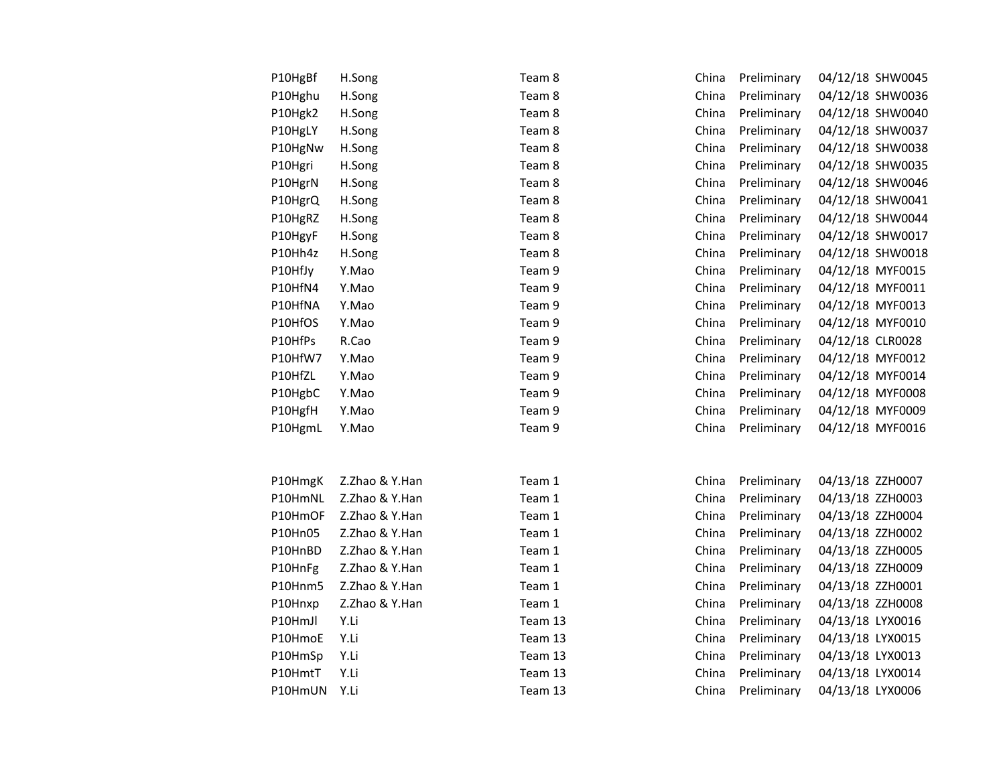| P10HgBf | H.Song         | Team 8  | China | Preliminary |                  | 04/12/18 SHW0045 |
|---------|----------------|---------|-------|-------------|------------------|------------------|
| P10Hghu | H.Song         | Team 8  | China | Preliminary |                  | 04/12/18 SHW0036 |
| P10Hgk2 | H.Song         | Team 8  | China | Preliminary |                  | 04/12/18 SHW0040 |
| P10HgLY | H.Song         | Team 8  | China | Preliminary |                  | 04/12/18 SHW0037 |
| P10HgNw | H.Song         | Team 8  | China | Preliminary |                  | 04/12/18 SHW0038 |
| P10Hgri | H.Song         | Team 8  | China | Preliminary |                  | 04/12/18 SHW0035 |
| P10HgrN | H.Song         | Team 8  | China | Preliminary |                  | 04/12/18 SHW0046 |
| P10HgrQ | H.Song         | Team 8  | China | Preliminary |                  | 04/12/18 SHW0041 |
| P10HgRZ | H.Song         | Team 8  | China | Preliminary |                  | 04/12/18 SHW0044 |
| P10HgyF | H.Song         | Team 8  | China | Preliminary |                  | 04/12/18 SHW0017 |
| P10Hh4z | H.Song         | Team 8  | China | Preliminary |                  | 04/12/18 SHW0018 |
| P10HfJy | Y.Mao          | Team 9  | China | Preliminary |                  | 04/12/18 MYF0015 |
| P10HfN4 | Y.Mao          | Team 9  | China | Preliminary |                  | 04/12/18 MYF0011 |
| P10HfNA | Y.Mao          | Team 9  | China | Preliminary |                  | 04/12/18 MYF0013 |
| P10HfOS | Y.Mao          | Team 9  | China | Preliminary |                  | 04/12/18 MYF0010 |
| P10HfPs | R.Cao          | Team 9  | China | Preliminary | 04/12/18 CLR0028 |                  |
| P10HfW7 | Y.Mao          | Team 9  | China | Preliminary |                  | 04/12/18 MYF0012 |
| P10HfZL | Y.Mao          | Team 9  | China | Preliminary |                  | 04/12/18 MYF0014 |
| P10HgbC | Y.Mao          | Team 9  | China | Preliminary |                  | 04/12/18 MYF0008 |
| P10HgfH | Y.Mao          | Team 9  | China | Preliminary |                  | 04/12/18 MYF0009 |
| P10HgmL | Y.Mao          | Team 9  | China | Preliminary |                  | 04/12/18 MYF0016 |
|         |                |         |       |             |                  |                  |
|         |                |         |       |             |                  |                  |
| P10HmgK | Z.Zhao & Y.Han | Team 1  | China | Preliminary | 04/13/18 ZZH0007 |                  |
| P10HmNL | Z.Zhao & Y.Han | Team 1  | China | Preliminary | 04/13/18 ZZH0003 |                  |
| P10HmOF | Z.Zhao & Y.Han | Team 1  | China | Preliminary | 04/13/18 ZZH0004 |                  |
| P10Hn05 | Z.Zhao & Y.Han | Team 1  | China | Preliminary | 04/13/18 ZZH0002 |                  |
| P10HnBD | Z.Zhao & Y.Han | Team 1  | China | Preliminary | 04/13/18 ZZH0005 |                  |
| P10HnFg | Z.Zhao & Y.Han | Team 1  | China | Preliminary | 04/13/18 ZZH0009 |                  |
| P10Hnm5 | Z.Zhao & Y.Han | Team 1  | China | Preliminary | 04/13/18 ZZH0001 |                  |
| P10Hnxp | Z.Zhao & Y.Han | Team 1  | China | Preliminary | 04/13/18 ZZH0008 |                  |
| P10HmJl | Y.Li           | Team 13 | China | Preliminary | 04/13/18 LYX0016 |                  |
| P10HmoE | Y.Li           | Team 13 | China | Preliminary | 04/13/18 LYX0015 |                  |
| P10HmSp | Y.Li           | Team 13 | China | Preliminary | 04/13/18 LYX0013 |                  |
| P10HmtT | Y.Li           | Team 13 | China | Preliminary | 04/13/18 LYX0014 |                  |
| P10HmUN | Y.Li           | Team 13 | China | Preliminary | 04/13/18 LYX0006 |                  |
|         |                |         |       |             |                  |                  |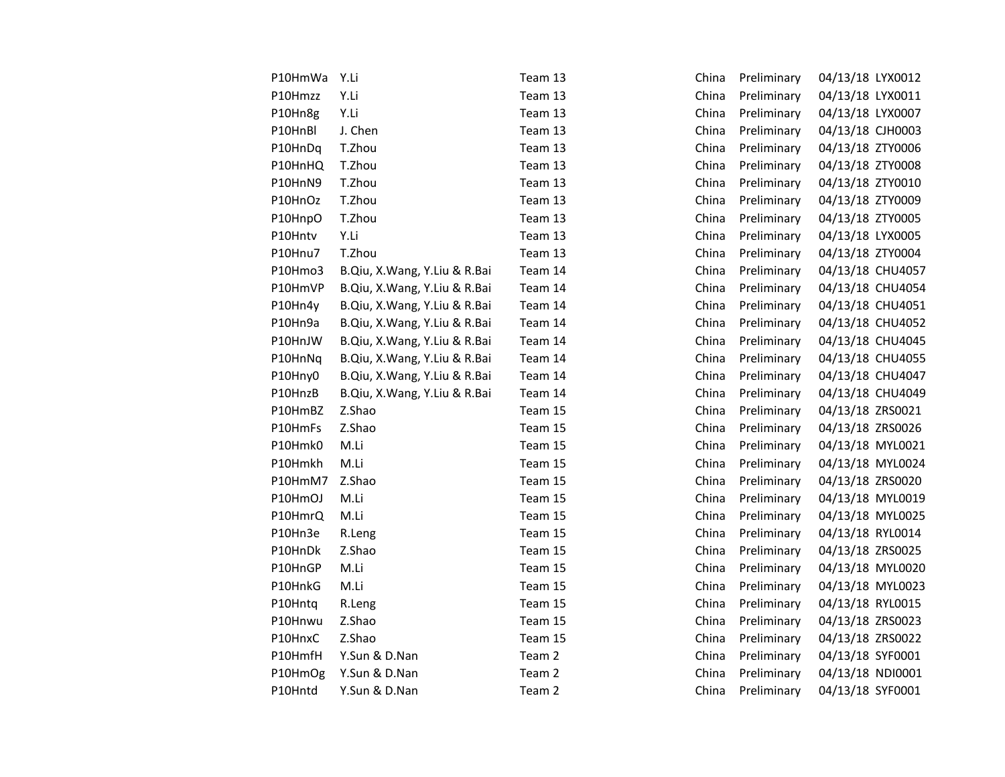| P10HmWa | Y.Li                         | Team 13 | China | Preliminary | 04/13/18 LYX0012 |  |
|---------|------------------------------|---------|-------|-------------|------------------|--|
| P10Hmzz | Y.Li                         | Team 13 | China | Preliminary | 04/13/18 LYX0011 |  |
| P10Hn8g | Y.Li                         | Team 13 | China | Preliminary | 04/13/18 LYX0007 |  |
| P10HnBl | J. Chen                      | Team 13 | China | Preliminary | 04/13/18 CJH0003 |  |
| P10HnDq | T.Zhou                       | Team 13 | China | Preliminary | 04/13/18 ZTY0006 |  |
| P10HnHQ | T.Zhou                       | Team 13 | China | Preliminary | 04/13/18 ZTY0008 |  |
| P10HnN9 | T.Zhou                       | Team 13 | China | Preliminary | 04/13/18 ZTY0010 |  |
| P10HnOz | T.Zhou                       | Team 13 | China | Preliminary | 04/13/18 ZTY0009 |  |
| P10HnpO | T.Zhou                       | Team 13 | China | Preliminary | 04/13/18 ZTY0005 |  |
| P10Hntv | Y.Li                         | Team 13 | China | Preliminary | 04/13/18 LYX0005 |  |
| P10Hnu7 | T.Zhou                       | Team 13 | China | Preliminary | 04/13/18 ZTY0004 |  |
| P10Hmo3 | B.Qiu, X.Wang, Y.Liu & R.Bai | Team 14 | China | Preliminary | 04/13/18 CHU4057 |  |
| P10HmVP | B.Qiu, X.Wang, Y.Liu & R.Bai | Team 14 | China | Preliminary | 04/13/18 CHU4054 |  |
| P10Hn4y | B.Qiu, X.Wang, Y.Liu & R.Bai | Team 14 | China | Preliminary | 04/13/18 CHU4051 |  |
| P10Hn9a | B.Qiu, X.Wang, Y.Liu & R.Bai | Team 14 | China | Preliminary | 04/13/18 CHU4052 |  |
| P10HnJW | B.Qiu, X.Wang, Y.Liu & R.Bai | Team 14 | China | Preliminary | 04/13/18 CHU4045 |  |
| P10HnNq | B.Qiu, X.Wang, Y.Liu & R.Bai | Team 14 | China | Preliminary | 04/13/18 CHU4055 |  |
| P10Hny0 | B.Qiu, X.Wang, Y.Liu & R.Bai | Team 14 | China | Preliminary | 04/13/18 CHU4047 |  |
| P10HnzB | B.Qiu, X.Wang, Y.Liu & R.Bai | Team 14 | China | Preliminary | 04/13/18 CHU4049 |  |
| P10HmBZ | Z.Shao                       | Team 15 | China | Preliminary | 04/13/18 ZRS0021 |  |
| P10HmFs | Z.Shao                       | Team 15 | China | Preliminary | 04/13/18 ZRS0026 |  |
| P10Hmk0 | M.Li                         | Team 15 | China | Preliminary | 04/13/18 MYL0021 |  |
| P10Hmkh | M.Li                         | Team 15 | China | Preliminary | 04/13/18 MYL0024 |  |
| P10HmM7 | Z.Shao                       | Team 15 | China | Preliminary | 04/13/18 ZRS0020 |  |
| P10HmOJ | M.Li                         | Team 15 | China | Preliminary | 04/13/18 MYL0019 |  |
| P10HmrQ | M.Li                         | Team 15 | China | Preliminary | 04/13/18 MYL0025 |  |
| P10Hn3e | R.Leng                       | Team 15 | China | Preliminary | 04/13/18 RYL0014 |  |
| P10HnDk | Z.Shao                       | Team 15 | China | Preliminary | 04/13/18 ZRS0025 |  |
| P10HnGP | M.Li                         | Team 15 | China | Preliminary | 04/13/18 MYL0020 |  |
| P10HnkG | M.Li                         | Team 15 | China | Preliminary | 04/13/18 MYL0023 |  |
| P10Hntq | R.Leng                       | Team 15 | China | Preliminary | 04/13/18 RYL0015 |  |
| P10Hnwu | Z.Shao                       | Team 15 | China | Preliminary | 04/13/18 ZRS0023 |  |
| P10HnxC | Z.Shao                       | Team 15 | China | Preliminary | 04/13/18 ZRS0022 |  |
| P10HmfH | Y.Sun & D.Nan                | Team 2  | China | Preliminary | 04/13/18 SYF0001 |  |
| P10HmOg | Y.Sun & D.Nan                | Team 2  | China | Preliminary | 04/13/18 NDI0001 |  |
| P10Hntd | Y.Sun & D.Nan                | Team 2  | China | Preliminary | 04/13/18 SYF0001 |  |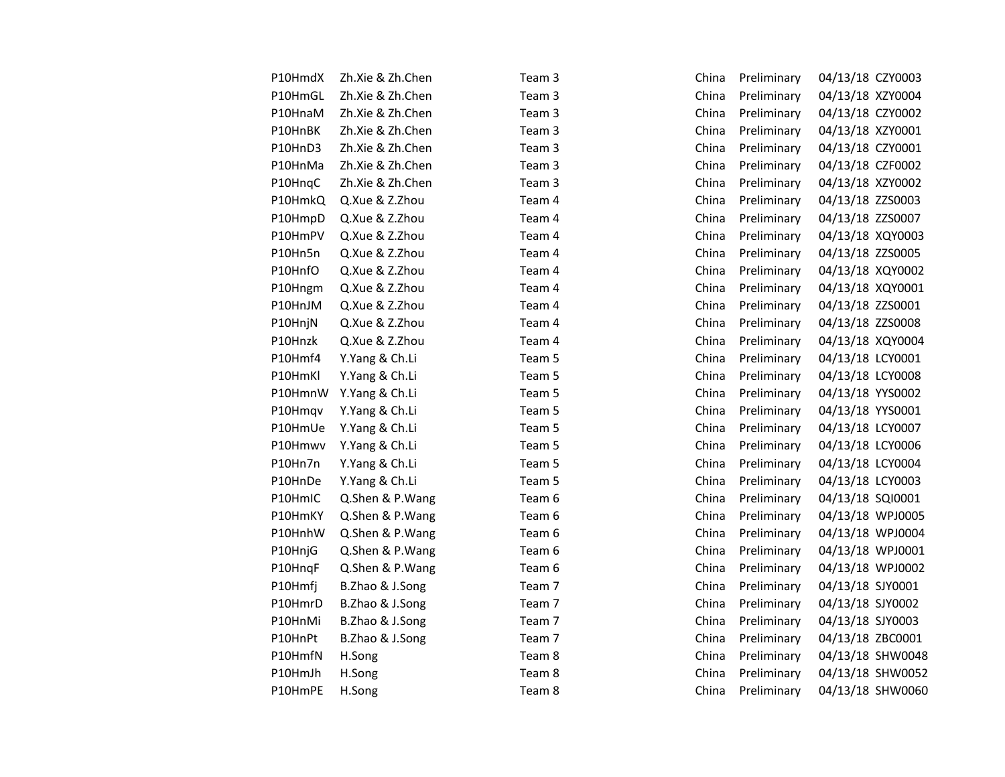| P10HmdX | Zh.Xie & Zh.Chen | Team 3 | China | Preliminary | 04/13/18 CZY0003 |                  |
|---------|------------------|--------|-------|-------------|------------------|------------------|
| P10HmGL | Zh.Xie & Zh.Chen | Team 3 | China | Preliminary | 04/13/18 XZY0004 |                  |
| P10HnaM | Zh.Xie & Zh.Chen | Team 3 | China | Preliminary | 04/13/18 CZY0002 |                  |
| P10HnBK | Zh.Xie & Zh.Chen | Team 3 | China | Preliminary | 04/13/18 XZY0001 |                  |
| P10HnD3 | Zh.Xie & Zh.Chen | Team 3 | China | Preliminary | 04/13/18 CZY0001 |                  |
| P10HnMa | Zh.Xie & Zh.Chen | Team 3 | China | Preliminary | 04/13/18 CZF0002 |                  |
| P10HnqC | Zh.Xie & Zh.Chen | Team 3 | China | Preliminary | 04/13/18 XZY0002 |                  |
| P10HmkQ | Q.Xue & Z.Zhou   | Team 4 | China | Preliminary | 04/13/18 ZZS0003 |                  |
| P10HmpD | Q.Xue & Z.Zhou   | Team 4 | China | Preliminary | 04/13/18 ZZS0007 |                  |
| P10HmPV | Q.Xue & Z.Zhou   | Team 4 | China | Preliminary | 04/13/18 XQY0003 |                  |
| P10Hn5n | Q.Xue & Z.Zhou   | Team 4 | China | Preliminary | 04/13/18 ZZS0005 |                  |
| P10HnfO | Q.Xue & Z.Zhou   | Team 4 | China | Preliminary | 04/13/18 XQY0002 |                  |
| P10Hngm | Q.Xue & Z.Zhou   | Team 4 | China | Preliminary | 04/13/18 XQY0001 |                  |
| P10HnJM | Q.Xue & Z.Zhou   | Team 4 | China | Preliminary | 04/13/18 ZZS0001 |                  |
| P10HnjN | Q.Xue & Z.Zhou   | Team 4 | China | Preliminary | 04/13/18 ZZS0008 |                  |
| P10Hnzk | Q.Xue & Z.Zhou   | Team 4 | China | Preliminary | 04/13/18 XQY0004 |                  |
| P10Hmf4 | Y.Yang & Ch.Li   | Team 5 | China | Preliminary | 04/13/18 LCY0001 |                  |
| P10HmKl | Y.Yang & Ch.Li   | Team 5 | China | Preliminary | 04/13/18 LCY0008 |                  |
| P10HmnW | Y.Yang & Ch.Li   | Team 5 | China | Preliminary | 04/13/18 YYS0002 |                  |
| P10Hmqv | Y.Yang & Ch.Li   | Team 5 | China | Preliminary | 04/13/18 YYS0001 |                  |
| P10HmUe | Y.Yang & Ch.Li   | Team 5 | China | Preliminary | 04/13/18 LCY0007 |                  |
| P10Hmwv | Y.Yang & Ch.Li   | Team 5 | China | Preliminary | 04/13/18 LCY0006 |                  |
| P10Hn7n | Y.Yang & Ch.Li   | Team 5 | China | Preliminary | 04/13/18 LCY0004 |                  |
| P10HnDe | Y.Yang & Ch.Li   | Team 5 | China | Preliminary | 04/13/18 LCY0003 |                  |
| P10HmIC | Q.Shen & P.Wang  | Team 6 | China | Preliminary | 04/13/18 SQI0001 |                  |
| P10HmKY | Q.Shen & P.Wang  | Team 6 | China | Preliminary |                  | 04/13/18 WPJ0005 |
| P10HnhW | Q.Shen & P.Wang  | Team 6 | China | Preliminary |                  | 04/13/18 WPJ0004 |
| P10HnjG | Q.Shen & P.Wang  | Team 6 | China | Preliminary |                  | 04/13/18 WPJ0001 |
| P10HnqF | Q.Shen & P.Wang  | Team 6 | China | Preliminary |                  | 04/13/18 WPJ0002 |
| P10Hmfj | B.Zhao & J.Song  | Team 7 | China | Preliminary | 04/13/18 SJY0001 |                  |
| P10HmrD | B.Zhao & J.Song  | Team 7 | China | Preliminary | 04/13/18 SJY0002 |                  |
| P10HnMi | B.Zhao & J.Song  | Team 7 | China | Preliminary | 04/13/18 SJY0003 |                  |
| P10HnPt | B.Zhao & J.Song  | Team 7 | China | Preliminary | 04/13/18 ZBC0001 |                  |
| P10HmfN | H.Song           | Team 8 | China | Preliminary |                  | 04/13/18 SHW0048 |
| P10HmJh | H.Song           | Team 8 | China | Preliminary |                  | 04/13/18 SHW0052 |
| P10HmPE | H.Song           | Team 8 | China | Preliminary |                  | 04/13/18 SHW0060 |
|         |                  |        |       |             |                  |                  |